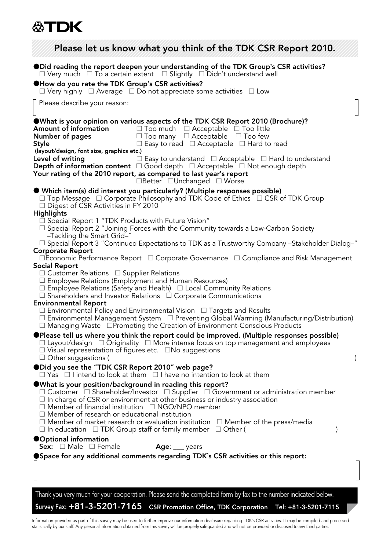## **公TDK**

| Please let us know what you think of the TDK CSR Report 2010.                                                                                                                                                                                                                                                                                                                                                                                                                                                                                                                                                                                                         |
|-----------------------------------------------------------------------------------------------------------------------------------------------------------------------------------------------------------------------------------------------------------------------------------------------------------------------------------------------------------------------------------------------------------------------------------------------------------------------------------------------------------------------------------------------------------------------------------------------------------------------------------------------------------------------|
| ● Did reading the report deepen your understanding of the TDK Group's CSR activities?<br>$\Box$ Very much $\Box$ To a certain extent $\Box$ Slightly $\Box$ Didn't understand well<br><b>OHow do you rate the TDK Group's CSR activities?</b><br>$\Box$ Very highly $\Box$ Average $\Box$ Do not appreciate some activities $\Box$ Low                                                                                                                                                                                                                                                                                                                                |
| Please describe your reason:                                                                                                                                                                                                                                                                                                                                                                                                                                                                                                                                                                                                                                          |
| <b>OWhat is your opinion on various aspects of the TDK CSR Report 2010 (Brochure)?</b><br>Amount of information<br>$\Box$ Too much $\Box$ Acceptable $\Box$ Too little<br>Number of pages<br>$\Box$ Too many $\Box$ Acceptable $\Box$ Too few<br>$\Box$ Easy to read $\Box$ Acceptable $\Box$ Hard to read<br>Style<br>(layout/design, font size, graphics etc.)<br>$\Box$ Easy to understand $\Box$ Acceptable $\Box$ Hard to understand<br>Level of writing<br><b>Depth of information content</b> □ Good depth □ Acceptable □ Not enough depth<br>Your rating of the 2010 report, as compared to last year's report<br>$\Box$ Better $\Box$ Unchanged $\Box$ Worse |
| ● Which item(s) did interest you particularly? (Multiple responses possible)<br>$\Box$ Top Message $\Box$ Corporate Philosophy and TDK Code of Ethics $\Box$ CSR of TDK Group<br>□ Digest of CSR Activities in FY 2010                                                                                                                                                                                                                                                                                                                                                                                                                                                |
| <b>Highlights</b><br>$\Box$ Special Report 1 "TDK Products with Future Vision"<br>$\Box$ Special Report 2 "Joining Forces with the Community towards a Low-Carbon Society<br>-Tackling the Smart Grid-"<br>$\Box$ Special Report 3 "Continued Expectations to TDK as a Trustworthy Company –Stakeholder Dialog–"<br><b>Corporate Report</b>                                                                                                                                                                                                                                                                                                                           |
| □Economic Performance Report □ Corporate Governance □ Compliance and Risk Management<br><b>Social Report</b><br>$\Box$ Customer Relations $\Box$ Supplier Relations<br>□ Employee Relations (Employment and Human Resources)<br>$\Box$ Employee Relations (Safety and Health) $\Box$ Local Community Relations<br>$\Box$ Shareholders and Investor Relations $\Box$ Corporate Communications                                                                                                                                                                                                                                                                          |
| <b>Environmental Report</b><br>$\Box$ Environmental Policy and Environmental Vision $\Box$ Targets and Results<br>$\Box$ Environmental Management System $\Box$ Preventing Global Warming (Manufacturing/Distribution)<br>□ Managing Waste □ Promoting the Creation of Environment-Conscious Products                                                                                                                                                                                                                                                                                                                                                                 |
| ●Please tell us where you think the report could be improved. (Multiple responses possible)<br>$\Box$ Layout/design $\Box$ Originality $\Box$ More intense focus on top management and employees<br>$\Box$ Visual representation of figures etc. $\Box$ No suggestions<br>$\Box$ Other suggestions (<br>$\mathcal{L}$                                                                                                                                                                                                                                                                                                                                                 |
| ● Did you see the "TDK CSR Report 2010" web page?<br>$\Box$ Yes $\Box$ I intend to look at them $\Box$ I have no intention to look at them                                                                                                                                                                                                                                                                                                                                                                                                                                                                                                                            |
| $\bullet$ What is your position/background in reading this report?<br>$\square$ Customer $\square$ Shareholder/Investor $\square$ Supplier $\square$ Government or administration member<br>$\Box$ In charge of CSR or environment at other business or industry association<br>$\Box$ Member of financial institution $\Box$ NGO/NPO member<br>$\Box$ Member of research or educational institution<br>$\Box$ Member of market research or evaluation institution $\Box$ Member of the press/media<br>$\Box$ In education $\Box$ TDK Group staff or family member $\Box$ Other (                                                                                     |
| ●Optional information<br><b>Sex:</b> $\Box$ Male $\Box$ Female<br>Age: __ years                                                                                                                                                                                                                                                                                                                                                                                                                                                                                                                                                                                       |
| <b>OSpace for any additional comments regarding TDK's CSR activities or this report:</b>                                                                                                                                                                                                                                                                                                                                                                                                                                                                                                                                                                              |
| Thank you very much for your cooperation. Please send the completed form by fax to the number indicated below.                                                                                                                                                                                                                                                                                                                                                                                                                                                                                                                                                        |
| Survey Fax: +81-3-5201-7165 CSR Promotion Office, TDK Corporation Tel: +81-3-5201-7115                                                                                                                                                                                                                                                                                                                                                                                                                                                                                                                                                                                |

Information provided as part of this survey may be used to further improve our information disclosure regarding TDK's CSR activities. It may be compiled and processed<br>statistically by our staff. Any personal information ob